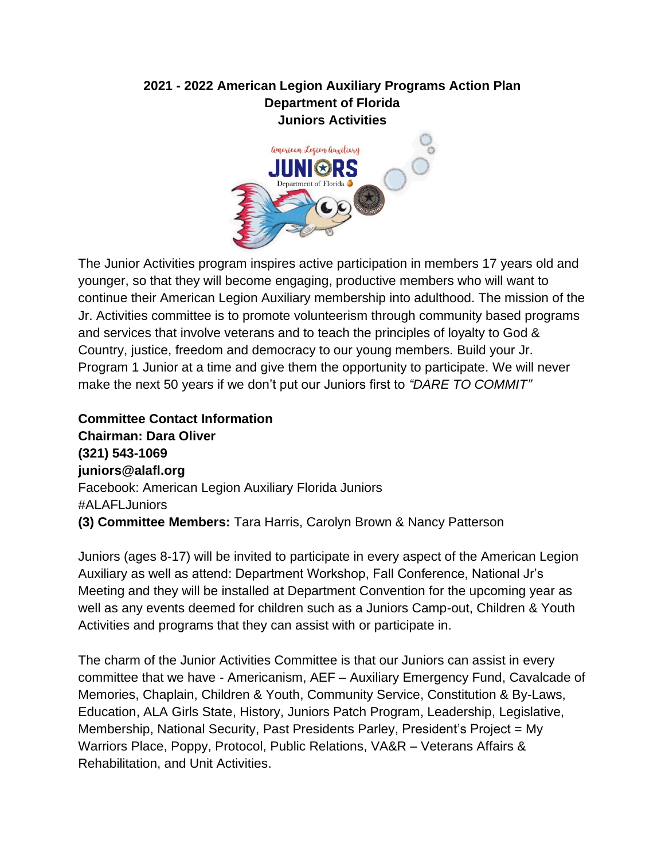#### **2021 - 2022 American Legion Auxiliary Programs Action Plan Department of Florida Juniors Activities**



The Junior Activities program inspires active participation in members 17 years old and younger, so that they will become engaging, productive members who will want to continue their American Legion Auxiliary membership into adulthood. The mission of the Jr. Activities committee is to promote volunteerism through community based programs and services that involve veterans and to teach the principles of loyalty to God & Country, justice, freedom and democracy to our young members. Build your Jr. Program 1 Junior at a time and give them the opportunity to participate. We will never make the next 50 years if we don't put our Juniors first to *"DARE TO COMMIT"*

**Committee Contact Information Chairman: Dara Oliver (321) 543-1069 juniors@alafl.org** Facebook: American Legion Auxiliary Florida Juniors #ALAFLJuniors **(3) Committee Members:** Tara Harris, Carolyn Brown & Nancy Patterson

Juniors (ages 8-17) will be invited to participate in every aspect of the American Legion Auxiliary as well as attend: Department Workshop, Fall Conference, National Jr's Meeting and they will be installed at Department Convention for the upcoming year as well as any events deemed for children such as a Juniors Camp-out, Children & Youth Activities and programs that they can assist with or participate in.

The charm of the Junior Activities Committee is that our Juniors can assist in every committee that we have - Americanism, AEF – Auxiliary Emergency Fund, Cavalcade of Memories, Chaplain, Children & Youth, Community Service, Constitution & By-Laws, Education, ALA Girls State, History, Juniors Patch Program, Leadership, Legislative, Membership, National Security, Past Presidents Parley, President's Project = My Warriors Place, Poppy, Protocol, Public Relations, VA&R – Veterans Affairs & Rehabilitation, and Unit Activities.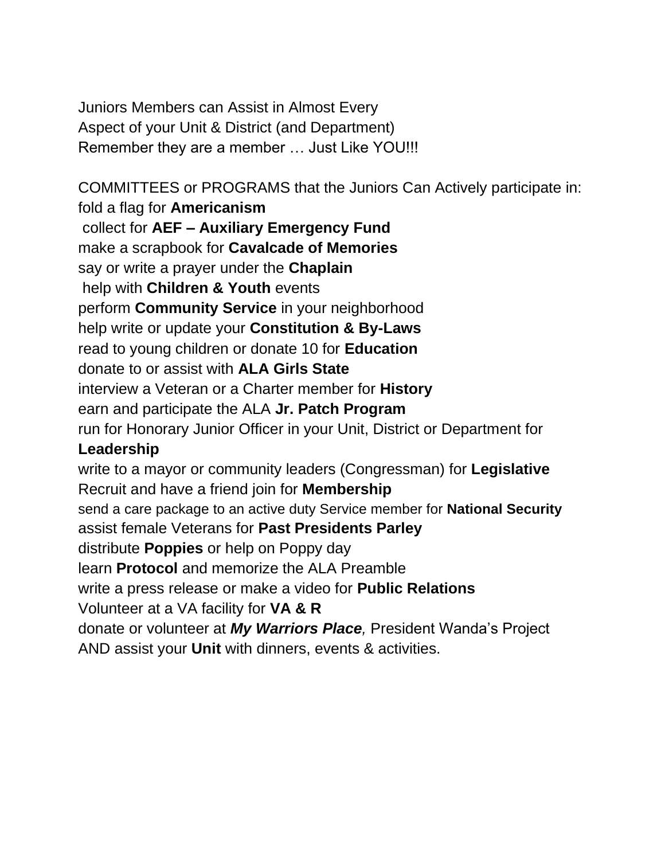Juniors Members can Assist in Almost Every Aspect of your Unit & District (and Department) Remember they are a member … Just Like YOU!!!

COMMITTEES or PROGRAMS that the Juniors Can Actively participate in: fold a flag for **Americanism** collect for **AEF – Auxiliary Emergency Fund** make a scrapbook for **Cavalcade of Memories** say or write a prayer under the **Chaplain** help with **Children & Youth** events perform **Community Service** in your neighborhood help write or update your **Constitution & By-Laws** read to young children or donate 10 for **Education** donate to or assist with **ALA Girls State** interview a Veteran or a Charter member for **History** earn and participate the ALA **Jr. Patch Program**  run for Honorary Junior Officer in your Unit, District or Department for **Leadership** write to a mayor or community leaders (Congressman) for **Legislative** Recruit and have a friend join for **Membership** send a care package to an active duty Service member for **National Security** assist female Veterans for **Past Presidents Parley** distribute **Poppies** or help on Poppy day learn **Protocol** and memorize the ALA Preamble write a press release or make a video for **Public Relations** Volunteer at a VA facility for **VA & R**  donate or volunteer at *My Warriors Place,* President Wanda's Project AND assist your **Unit** with dinners, events & activities.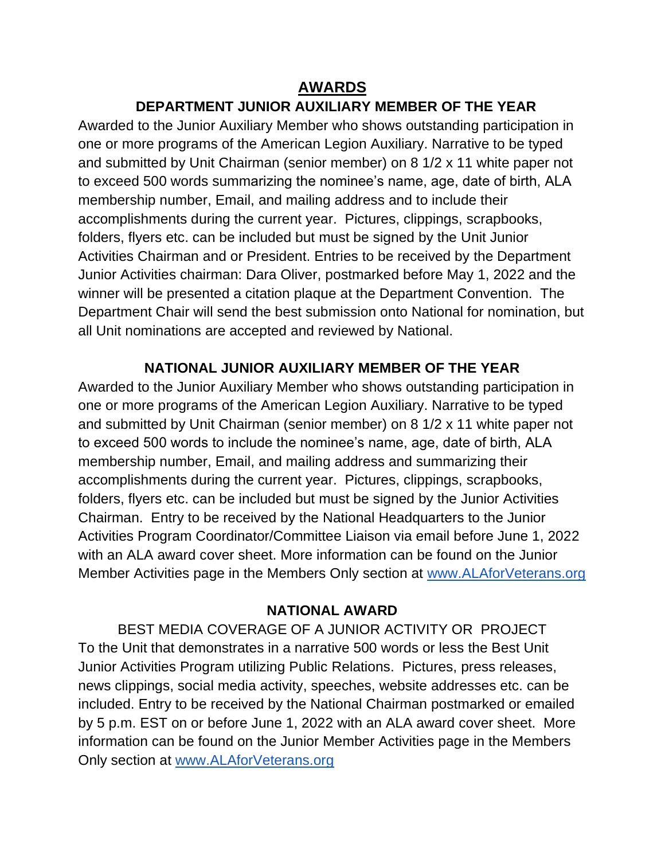### **AWARDS**

# **DEPARTMENT JUNIOR AUXILIARY MEMBER OF THE YEAR**

Awarded to the Junior Auxiliary Member who shows outstanding participation in one or more programs of the American Legion Auxiliary. Narrative to be typed and submitted by Unit Chairman (senior member) on 8 1/2 x 11 white paper not to exceed 500 words summarizing the nominee's name, age, date of birth, ALA membership number, Email, and mailing address and to include their accomplishments during the current year. Pictures, clippings, scrapbooks, folders, flyers etc. can be included but must be signed by the Unit Junior Activities Chairman and or President. Entries to be received by the Department Junior Activities chairman: Dara Oliver, postmarked before May 1, 2022 and the winner will be presented a citation plaque at the Department Convention. The Department Chair will send the best submission onto National for nomination, but all Unit nominations are accepted and reviewed by National.

#### **NATIONAL JUNIOR AUXILIARY MEMBER OF THE YEAR**

Awarded to the Junior Auxiliary Member who shows outstanding participation in one or more programs of the American Legion Auxiliary. Narrative to be typed and submitted by Unit Chairman (senior member) on 8 1/2 x 11 white paper not to exceed 500 words to include the nominee's name, age, date of birth, ALA membership number, Email, and mailing address and summarizing their accomplishments during the current year. Pictures, clippings, scrapbooks, folders, flyers etc. can be included but must be signed by the Junior Activities Chairman. Entry to be received by the National Headquarters to the Junior Activities Program Coordinator/Committee Liaison via email before June 1, 2022 with an ALA award cover sheet. More information can be found on the Junior Member Activities page in the Members Only section at www.ALAforVeterans.org

#### **NATIONAL AWARD**

BEST MEDIA COVERAGE OF A JUNIOR ACTIVITY OR PROJECT To the Unit that demonstrates in a narrative 500 words or less the Best Unit Junior Activities Program utilizing Public Relations. Pictures, press releases, news clippings, social media activity, speeches, website addresses etc. can be included. Entry to be received by the National Chairman postmarked or emailed by 5 p.m. EST on or before June 1, 2022 with an ALA award cover sheet. More information can be found on the Junior Member Activities page in the Members Only section at [www.ALAforVeterans.org](http://www.alaforveterans.org/)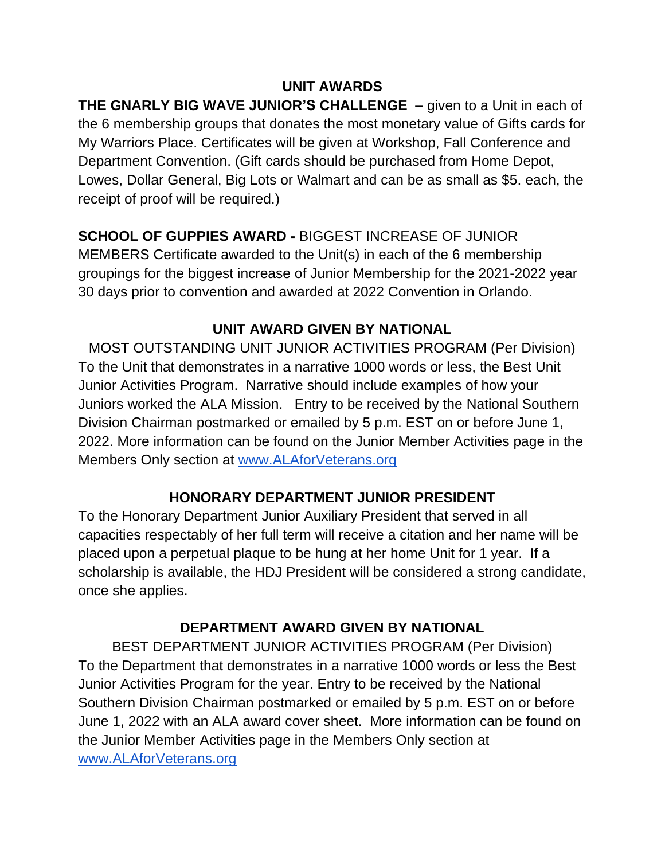## **UNIT AWARDS**

**THE GNARLY BIG WAVE JUNIOR'S CHALLENGE –** given to a Unit in each of the 6 membership groups that donates the most monetary value of Gifts cards for My Warriors Place. Certificates will be given at Workshop, Fall Conference and Department Convention. (Gift cards should be purchased from Home Depot, Lowes, Dollar General, Big Lots or Walmart and can be as small as \$5. each, the receipt of proof will be required.)

# **SCHOOL OF GUPPIES AWARD -** BIGGEST INCREASE OF JUNIOR

MEMBERS Certificate awarded to the Unit(s) in each of the 6 membership groupings for the biggest increase of Junior Membership for the 2021-2022 year 30 days prior to convention and awarded at 2022 Convention in Orlando.

# **UNIT AWARD GIVEN BY NATIONAL**

MOST OUTSTANDING UNIT JUNIOR ACTIVITIES PROGRAM (Per Division) To the Unit that demonstrates in a narrative 1000 words or less, the Best Unit Junior Activities Program. Narrative should include examples of how your Juniors worked the ALA Mission. Entry to be received by the National Southern Division Chairman postmarked or emailed by 5 p.m. EST on or before June 1, 2022. More information can be found on the Junior Member Activities page in the Members Only section at [www.ALAforVeterans.org](http://www.alaforveterans.org/) 

#### **HONORARY DEPARTMENT JUNIOR PRESIDENT**

To the Honorary Department Junior Auxiliary President that served in all capacities respectably of her full term will receive a citation and her name will be placed upon a perpetual plaque to be hung at her home Unit for 1 year. If a scholarship is available, the HDJ President will be considered a strong candidate, once she applies.

### **DEPARTMENT AWARD GIVEN BY NATIONAL**

BEST DEPARTMENT JUNIOR ACTIVITIES PROGRAM (Per Division) To the Department that demonstrates in a narrative 1000 words or less the Best Junior Activities Program for the year. Entry to be received by the National Southern Division Chairman postmarked or emailed by 5 p.m. EST on or before June 1, 2022 with an ALA award cover sheet. More information can be found on the Junior Member Activities page in the Members Only section at [www.ALAforVeterans.org](http://www.alaforveterans.org/)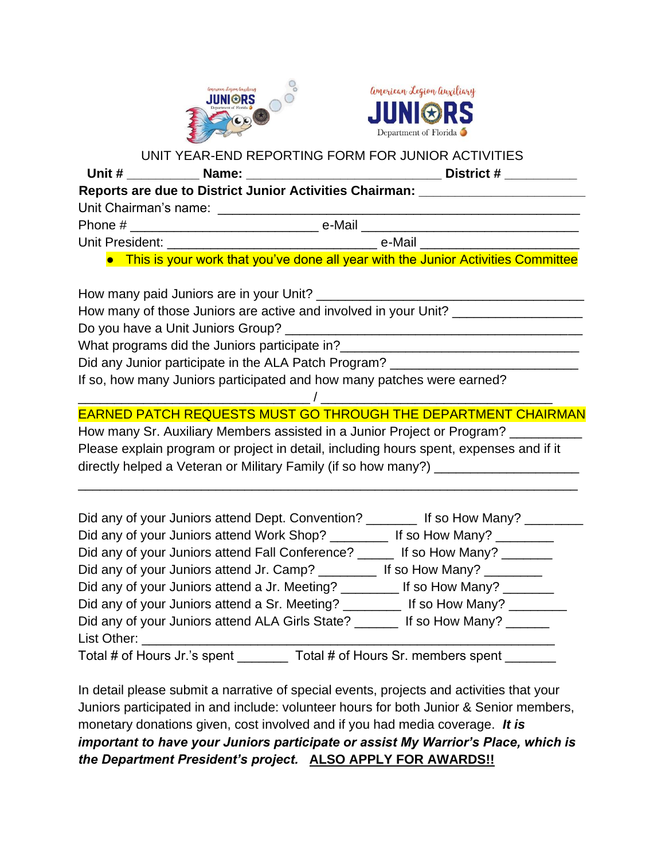



#### UNIT YEAR-END REPORTING FORM FOR JUNIOR ACTIVITIES

|  | District # $\frac{1}{2}$                                                           |
|--|------------------------------------------------------------------------------------|
|  | Reports are due to District Junior Activities Chairman: ________________________   |
|  |                                                                                    |
|  |                                                                                    |
|  |                                                                                    |
|  | • This is your work that you've done all year with the Junior Activities Committee |
|  |                                                                                    |
|  | How many of those Juniors are active and involved in your Unit? _______________    |

Do you have a Unit Juniors Group? \_\_\_\_\_

What programs did the Juniors participate in?

Did any Junior participate in the ALA Patch Program?

If so, how many Juniors participated and how many patches were earned?

## EARNED PATCH REQUESTS MUST GO THROUGH THE DEPARTMENT CHAIRMAN

How many Sr. Auxiliary Members assisted in a Junior Project or Program? Please explain program or project in detail, including hours spent, expenses and if it directly helped a Veteran or Military Family (if so how many?)

\_\_\_\_\_\_\_\_\_\_\_\_\_\_\_\_\_\_\_\_\_\_\_\_\_\_\_\_\_\_\_\_\_\_\_\_\_\_\_\_\_\_\_\_\_\_\_\_\_\_\_\_\_\_\_\_\_\_\_\_\_\_\_\_\_\_\_\_\_

\_\_\_\_\_\_\_\_\_\_\_\_\_\_\_\_\_\_\_\_\_\_\_\_\_\_\_\_\_\_\_\_ / \_\_\_\_\_\_\_\_\_\_\_\_\_\_\_\_\_\_\_\_\_\_\_\_\_\_\_\_\_\_\_\_

| Did any of your Juniors attend Dept. Convention? _________ If so How Many? ____ |                                    |
|---------------------------------------------------------------------------------|------------------------------------|
| Did any of your Juniors attend Work Shop?                                       | If so How Many?                    |
| Did any of your Juniors attend Fall Conference? _                               | If so How Many?                    |
| Did any of your Juniors attend Jr. Camp?                                        | If so How Many? $\sqrt{2\pi}$      |
| Did any of your Juniors attend a Jr. Meeting? ________ If so How Many?          |                                    |
| Did any of your Juniors attend a Sr. Meeting? _________ If so How Many? _____   |                                    |
| Did any of your Juniors attend ALA Girls State? ______                          | If so How Many?                    |
| List Other:                                                                     |                                    |
| Total # of Hours Jr.'s spent                                                    | Total # of Hours Sr. members spent |

In detail please submit a narrative of special events, projects and activities that your Juniors participated in and include: volunteer hours for both Junior & Senior members, monetary donations given, cost involved and if you had media coverage. *It is important to have your Juniors participate or assist My Warrior's Place, which is the Department President's project.* **ALSO APPLY FOR AWARDS!!**